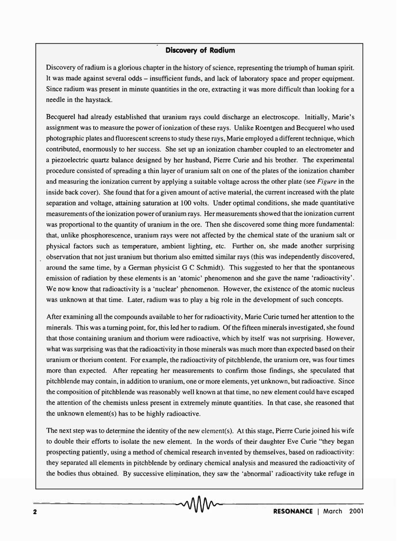## **Discovery of Radium**

Discovery of radium is a glorious chapter in the history of science, representing the triumph of human spirit. It was made against several odds - insufficient funds, and lack of laboratory space and proper equipment. Since radium was present in minute quantities in the ore, extracting it was more difficult than looking for a needle in the haystack.

Becquerel had already established that uranium rays could discharge an electroscope. Initially, Marie's assignment was to measure the power of ionization of these rays. Unlike Roentgen and Becquerel who used photographic plates and fluorescent screens to study these rays, Marie employed a different technique, which contributed, enormously to her success. She set up an ionization chamber coupled to an electrometer and a piezoelectric quartz balance designed by her husband, Pierre Curie and his brother. The experimental procedure consisted of spreading a thin layer of uranium salt on one of the plates of the ionization chamber and measuring the ionization current by applying a suitable voltage across the other plate (see *Figure* in the inside back cover). She found that for a given amount of active material, the current increased with the plate separation and voltage, attaining saturation at 100 volts. Under optimal conditions, she made quantitative measurements of the ionization power of uranium rays. Her measurements showed that the ionization current was proportional to the quantity of uranium in the ore. Then she discovered some thing more fundamental: that, unlike phosphorescence, uranium rays were not affected by the chemical state of the uranium salt or physical factors such as temperature, ambient lighting, etc. Further on, she made another surprising observation that not just uranium but thorium also emitted similar rays (this was independently discovered, around the same time, by a German physicist G C Schmidt). This suggested to her that the spontaneous emission of radiation by these elements is an 'atomic' phenomenon and she gave the name 'radioactivity'. We now know that radioactivity is a 'nuclear' phenomenon. However, the existence of the atomic nucleus was unknown at that time. Later, radium was to playa big role in the development of such concepts.

After examining all the compounds available to her for radioactivity, Marie Curie turned her attention to the minerals. This was a turning point, for, this led her to radium. Of the fifteen minerals investigated, she found that those containing uranium and thorium were radioactive, which by itself was not surprising. However, what was surprising was that the radioactivity in those minerals was much more than expected based on their uranium or thorium content. For example, the radioactivity of pitchblende, the uranium ore, was four times more than expected. After repeating her measurements to confirm those findings, she speculated that pitchblende may contain, in addition to uranium, one or more elements, yet unknown, but radioactive. Since the composition of pitchblende was reasonably well known at that time, no new element could have escaped the attention of the chemists unless present in extremely minute quantities. In that case, she reasoned that the unknown element(s) has to be highly radioactive.

The next step was to determine the identity of the new element(s). At this stage, Pierre Curie joined his wife to double their efforts to isolate the new element. In the words of their daughter Eve Curie "they began prospecting patiently, using a method of chemical research invented by themselves, based on radioactivity: they separated all elements in pitchblende by ordinary chemical analysis and measured the radioactivity of the bodies thus obtained. By successive elimination, they saw the 'abnormal' radioactivity take refuge in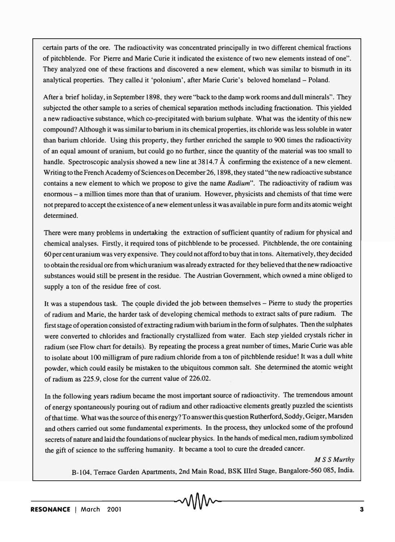certain parts of the ore. The radioactivity was concentrated principally in two different chemical fractions of pitchblende. For Pierre and Marie Curie it indicated the existence of two new elements instead of one". They analyzed one of these fractions and discovered a new element, which was similar to bismuth in its analytical properties. They called it 'polonium', after Marie Curie's beloved homeland - Poland.

After a brief holiday, in September 1898, they were "back to the damp work rooms and dull minerals". They subjected the other sample to a series of chemical separation methods including fractionation. This yielded a new radioactive substance, which co-precipitated with barium sulphate. What was the identity of this new compound? Although it was similar to barium in its chemical properties, its chloride was less soluble in water than barium chloride. Using this property, they further enriched the sample to 900 times the radioactivity of an equal amount of uranium, but could go no further, since the quantity of the material was too small to handle. Spectroscopic analysis showed a new line at 3814.7 Å confirming the existence of a new element. Writing to the French Academy of Sciences on December 26, 1898, they stated "the new radioactive substance contains a new element to which we propose to give the name *Radium".* The radioactivity of radium was enormous - a million times more than that of uranium. However, physicists and chemists of that time were not prepared to accept the existence of a new element unless it was available in pure form and its atomic weight determined.

There were many problems in undertaking the extraction of sufficient quantity of radium for physical and chemical analyses. Firstly, it required tons of pitchblende to be processed. Pitchblende, the ore containing 60 per cent uranium was very expensive. They could not afford to buy that in tons. Alternatively, they decided to obtain the residual ore from which uranium was already extracted for they believed that the new radioactive substances would still be present in the residue. The Austrian Government, which owned a mine obliged to supply a ton of the residue free of cost.

It was a stupendous task. The couple divided the job between themselves - Pierre to study the properties of radium and Marie, the harder task of developing chemical methods to extract salts of pure radium. The first stage of operation consisted of extracting radium with barium in the form of sulphates. Then the sulphates were converted to chlorides and fractionally crystallized from water. Each step yielded crystals richer in radium (see Flow chart for details). By repeating the process a great number of times, Marie Curie was able to isolate about 100 milligram of pure radium chloride from a ton of pitchblende residue! It was a dull white powder, which could easily be mistaken to the ubiquitous common salt. She determined the atomic weight of radium as 225.9, close for the current value of 226.02.

In the following years radium became the most important source of radioactivity. The tremendous amount of energy spontaneously pouring out of radium and other radioactive elements greatly puzzled the scientists of that time. What was the source of this energy? To answer this question Rutherford, Soddy, Geiger, Marsden and others carried out some fundamental experiments. In the process, they unlocked some of the profound secrets of nature and laid the foundations of nuclear physics. In the hands of medical men, radium symbolized the gift of science to the suffering humanity. It became a tool to cure the dreaded cancer.

*M* S S *Murthy*  B-I04. Terrace Garden Apartments, 2nd Main Road, BSK IIlrd Stage, Bangalore-560 085, India.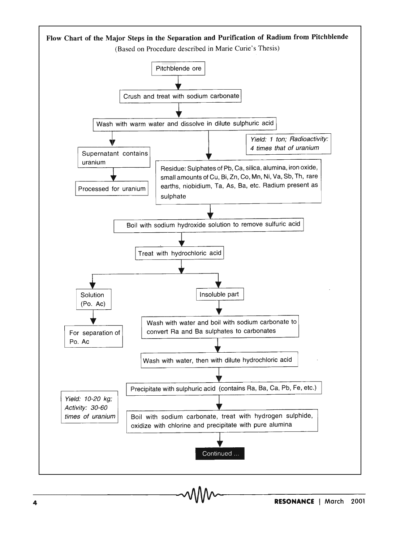